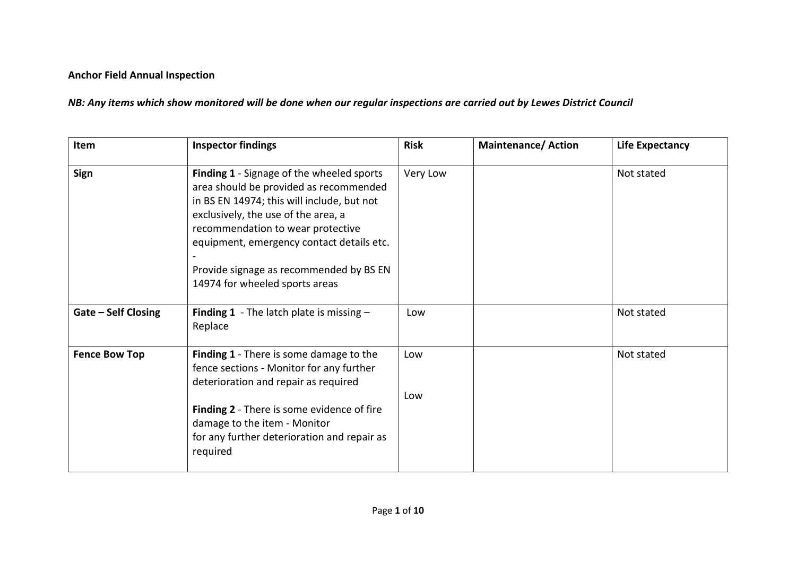## **Anchor Field Annual Inspection**

*NB: Any items which show monitored will be done when our regular inspections are carried out by Lewes District Council*

| Item                       | <b>Inspector findings</b>                                                                                                                                                                                                                                                                                                               | <b>Risk</b> | <b>Maintenance/Action</b> | <b>Life Expectancy</b> |
|----------------------------|-----------------------------------------------------------------------------------------------------------------------------------------------------------------------------------------------------------------------------------------------------------------------------------------------------------------------------------------|-------------|---------------------------|------------------------|
| Sign                       | Finding 1 - Signage of the wheeled sports<br>area should be provided as recommended<br>in BS EN 14974; this will include, but not<br>exclusively, the use of the area, a<br>recommendation to wear protective<br>equipment, emergency contact details etc.<br>Provide signage as recommended by BS EN<br>14974 for wheeled sports areas | Very Low    |                           | Not stated             |
| <b>Gate - Self Closing</b> | <b>Finding 1</b> - The latch plate is missing $-$<br>Replace                                                                                                                                                                                                                                                                            | Low         |                           | Not stated             |
| <b>Fence Bow Top</b>       | <b>Finding 1</b> - There is some damage to the<br>fence sections - Monitor for any further<br>deterioration and repair as required<br>Finding 2 - There is some evidence of fire<br>damage to the item - Monitor<br>for any further deterioration and repair as                                                                         | Low<br>Low  |                           | Not stated             |
|                            | required                                                                                                                                                                                                                                                                                                                                |             |                           |                        |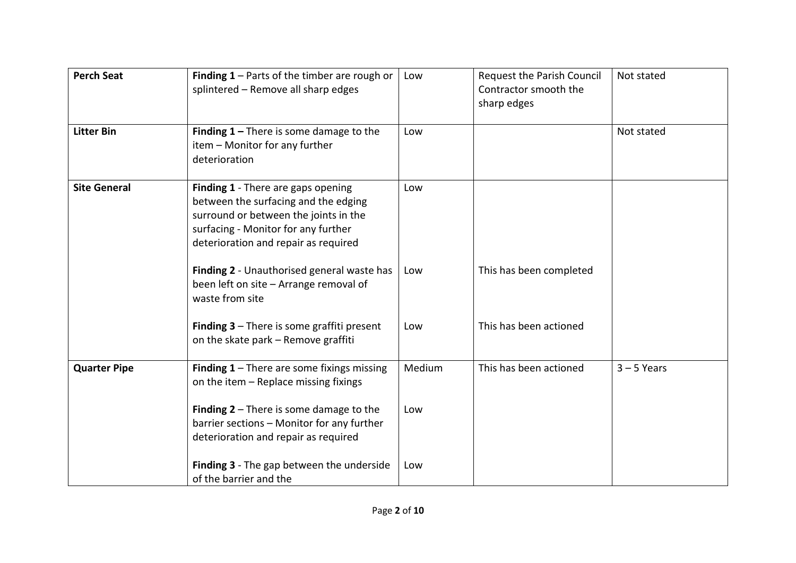| <b>Perch Seat</b>   | <b>Finding 1</b> – Parts of the timber are rough or<br>splintered - Remove all sharp edges                                                                                                         | Low    | Request the Parish Council<br>Contractor smooth the<br>sharp edges | Not stated    |
|---------------------|----------------------------------------------------------------------------------------------------------------------------------------------------------------------------------------------------|--------|--------------------------------------------------------------------|---------------|
| <b>Litter Bin</b>   | Finding $1$ – There is some damage to the<br>item - Monitor for any further<br>deterioration                                                                                                       | Low    |                                                                    | Not stated    |
| <b>Site General</b> | Finding 1 - There are gaps opening<br>between the surfacing and the edging<br>surround or between the joints in the<br>surfacing - Monitor for any further<br>deterioration and repair as required | Low    |                                                                    |               |
|                     | Finding 2 - Unauthorised general waste has<br>been left on site - Arrange removal of<br>waste from site                                                                                            | Low    | This has been completed                                            |               |
|                     | <b>Finding 3</b> $-$ There is some graffiti present<br>on the skate park - Remove graffiti                                                                                                         | Low    | This has been actioned                                             |               |
| <b>Quarter Pipe</b> | <b>Finding 1</b> – There are some fixings missing<br>on the item - Replace missing fixings                                                                                                         | Medium | This has been actioned                                             | $3 - 5$ Years |
|                     | Finding $2$ – There is some damage to the<br>barrier sections - Monitor for any further<br>deterioration and repair as required                                                                    | Low    |                                                                    |               |
|                     | Finding 3 - The gap between the underside<br>of the barrier and the                                                                                                                                | Low    |                                                                    |               |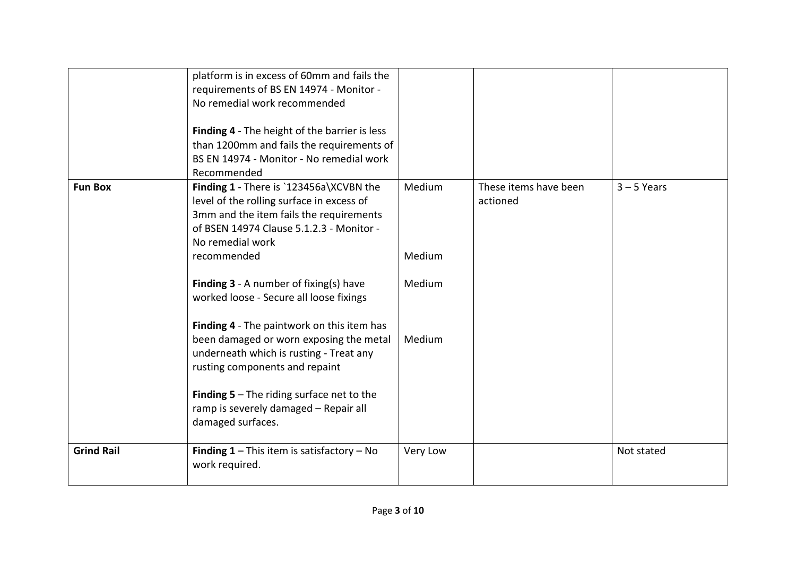|                   | platform is in excess of 60mm and fails the<br>requirements of BS EN 14974 - Monitor -<br>No remedial work recommended<br>Finding 4 - The height of the barrier is less<br>than 1200mm and fails the requirements of<br>BS EN 14974 - Monitor - No remedial work<br>Recommended                                                                                                                                                                                                                                                                                                                      |                                      |                                   |               |
|-------------------|------------------------------------------------------------------------------------------------------------------------------------------------------------------------------------------------------------------------------------------------------------------------------------------------------------------------------------------------------------------------------------------------------------------------------------------------------------------------------------------------------------------------------------------------------------------------------------------------------|--------------------------------------|-----------------------------------|---------------|
| <b>Fun Box</b>    | Finding 1 - There is `123456a\XCVBN the<br>level of the rolling surface in excess of<br>3mm and the item fails the requirements<br>of BSEN 14974 Clause 5.1.2.3 - Monitor -<br>No remedial work<br>recommended<br><b>Finding 3</b> - A number of fixing(s) have<br>worked loose - Secure all loose fixings<br>Finding 4 - The paintwork on this item has<br>been damaged or worn exposing the metal<br>underneath which is rusting - Treat any<br>rusting components and repaint<br><b>Finding 5</b> $-$ The riding surface net to the<br>ramp is severely damaged - Repair all<br>damaged surfaces. | Medium<br>Medium<br>Medium<br>Medium | These items have been<br>actioned | $3 - 5$ Years |
| <b>Grind Rail</b> | <b>Finding 1</b> – This item is satisfactory – No<br>work required.                                                                                                                                                                                                                                                                                                                                                                                                                                                                                                                                  | Very Low                             |                                   | Not stated    |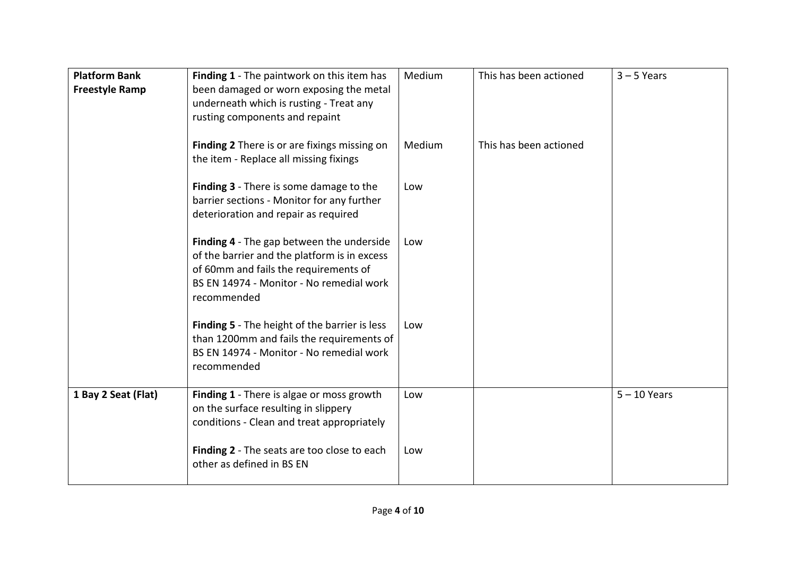| <b>Platform Bank</b><br><b>Freestyle Ramp</b> | Finding 1 - The paintwork on this item has<br>been damaged or worn exposing the metal<br>underneath which is rusting - Treat any<br>rusting components and repaint                            | Medium | This has been actioned | $3 - 5$ Years  |
|-----------------------------------------------|-----------------------------------------------------------------------------------------------------------------------------------------------------------------------------------------------|--------|------------------------|----------------|
|                                               | Finding 2 There is or are fixings missing on<br>the item - Replace all missing fixings                                                                                                        | Medium | This has been actioned |                |
|                                               | Finding 3 - There is some damage to the<br>barrier sections - Monitor for any further<br>deterioration and repair as required                                                                 | Low    |                        |                |
|                                               | Finding 4 - The gap between the underside<br>of the barrier and the platform is in excess<br>of 60mm and fails the requirements of<br>BS EN 14974 - Monitor - No remedial work<br>recommended | Low    |                        |                |
|                                               | <b>Finding 5</b> - The height of the barrier is less<br>than 1200mm and fails the requirements of<br>BS EN 14974 - Monitor - No remedial work<br>recommended                                  | Low    |                        |                |
| 1 Bay 2 Seat (Flat)                           | Finding 1 - There is algae or moss growth<br>on the surface resulting in slippery<br>conditions - Clean and treat appropriately                                                               | Low    |                        | $5 - 10$ Years |
|                                               | Finding 2 - The seats are too close to each<br>other as defined in BS EN                                                                                                                      | Low    |                        |                |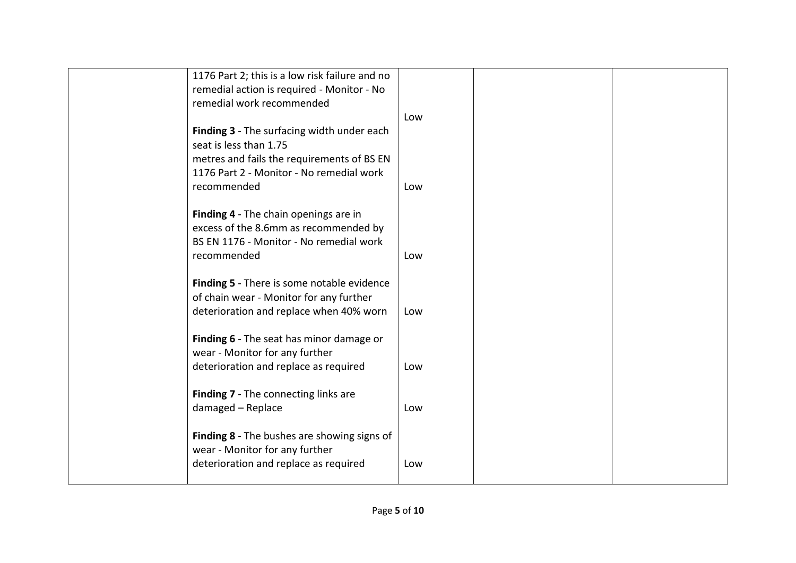| 1176 Part 2; this is a low risk failure and no    |     |  |
|---------------------------------------------------|-----|--|
| remedial action is required - Monitor - No        |     |  |
| remedial work recommended                         |     |  |
|                                                   |     |  |
|                                                   | Low |  |
| Finding 3 - The surfacing width under each        |     |  |
| seat is less than 1.75                            |     |  |
| metres and fails the requirements of BS EN        |     |  |
| 1176 Part 2 - Monitor - No remedial work          |     |  |
|                                                   |     |  |
| recommended                                       | Low |  |
|                                                   |     |  |
| Finding 4 - The chain openings are in             |     |  |
| excess of the 8.6mm as recommended by             |     |  |
| BS EN 1176 - Monitor - No remedial work           |     |  |
|                                                   |     |  |
| recommended                                       | Low |  |
|                                                   |     |  |
| <b>Finding 5</b> - There is some notable evidence |     |  |
| of chain wear - Monitor for any further           |     |  |
| deterioration and replace when 40% worn           | Low |  |
|                                                   |     |  |
|                                                   |     |  |
| Finding 6 - The seat has minor damage or          |     |  |
| wear - Monitor for any further                    |     |  |
| deterioration and replace as required             | Low |  |
|                                                   |     |  |
|                                                   |     |  |
| Finding 7 - The connecting links are              |     |  |
| damaged - Replace                                 | Low |  |
|                                                   |     |  |
| Finding 8 - The bushes are showing signs of       |     |  |
| wear - Monitor for any further                    |     |  |
|                                                   |     |  |
| deterioration and replace as required             | Low |  |
|                                                   |     |  |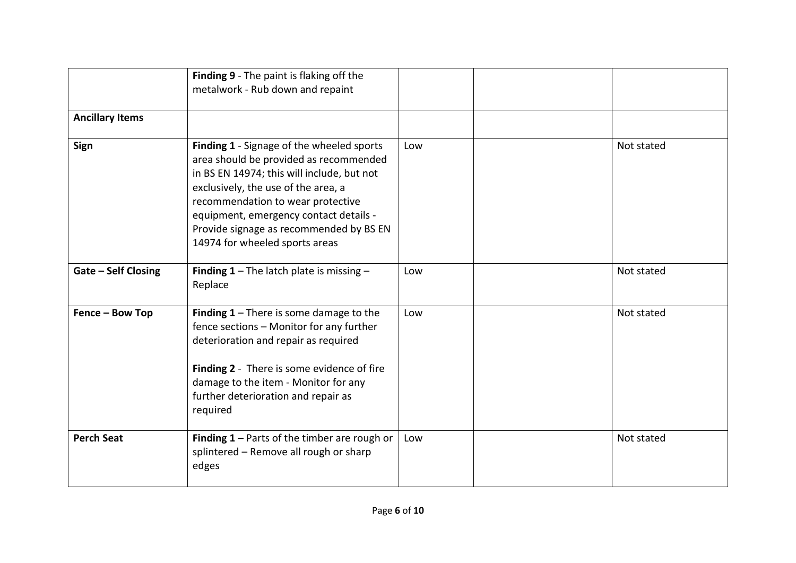|                            | Finding 9 - The paint is flaking off the<br>metalwork - Rub down and repaint                                                                                                                                                                                                                                                         |     |            |
|----------------------------|--------------------------------------------------------------------------------------------------------------------------------------------------------------------------------------------------------------------------------------------------------------------------------------------------------------------------------------|-----|------------|
| <b>Ancillary Items</b>     |                                                                                                                                                                                                                                                                                                                                      |     |            |
| Sign                       | Finding 1 - Signage of the wheeled sports<br>area should be provided as recommended<br>in BS EN 14974; this will include, but not<br>exclusively, the use of the area, a<br>recommendation to wear protective<br>equipment, emergency contact details -<br>Provide signage as recommended by BS EN<br>14974 for wheeled sports areas | Low | Not stated |
| <b>Gate - Self Closing</b> | <b>Finding 1</b> – The latch plate is missing –<br>Replace                                                                                                                                                                                                                                                                           | Low | Not stated |
| Fence - Bow Top            | Finding $1$ – There is some damage to the<br>fence sections - Monitor for any further<br>deterioration and repair as required<br>Finding 2 - There is some evidence of fire<br>damage to the item - Monitor for any<br>further deterioration and repair as<br>required                                                               | Low | Not stated |
| <b>Perch Seat</b>          | Finding $1$ – Parts of the timber are rough or<br>splintered - Remove all rough or sharp<br>edges                                                                                                                                                                                                                                    | Low | Not stated |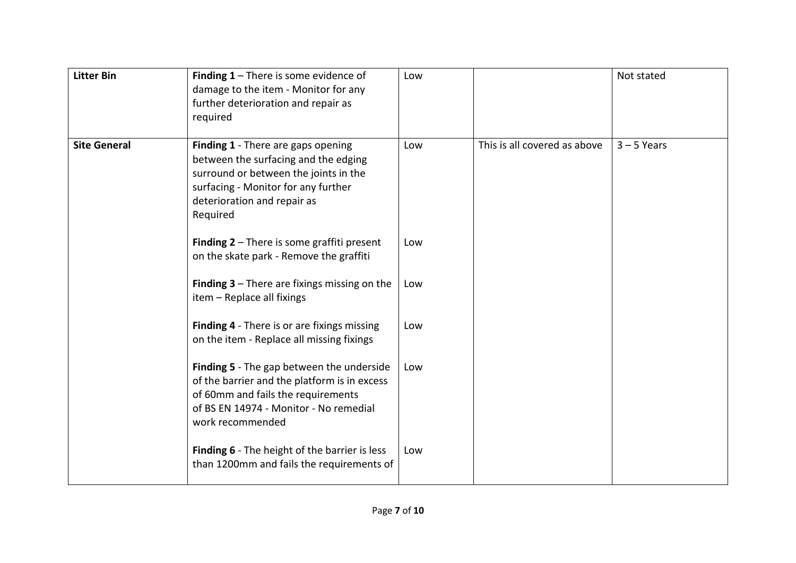| <b>Litter Bin</b>   | Finding $1$ – There is some evidence of<br>damage to the item - Monitor for any<br>further deterioration and repair as<br>required                                                                    | Low |                              | Not stated    |
|---------------------|-------------------------------------------------------------------------------------------------------------------------------------------------------------------------------------------------------|-----|------------------------------|---------------|
| <b>Site General</b> | Finding 1 - There are gaps opening<br>between the surfacing and the edging<br>surround or between the joints in the<br>surfacing - Monitor for any further<br>deterioration and repair as<br>Required | Low | This is all covered as above | $3 - 5$ Years |
|                     | <b>Finding 2</b> $-$ There is some graffiti present<br>on the skate park - Remove the graffiti                                                                                                        | Low |                              |               |
|                     | <b>Finding 3</b> $-$ There are fixings missing on the<br>item - Replace all fixings                                                                                                                   | Low |                              |               |
|                     | <b>Finding 4</b> - There is or are fixings missing<br>on the item - Replace all missing fixings                                                                                                       | Low |                              |               |
|                     | Finding 5 - The gap between the underside<br>of the barrier and the platform is in excess<br>of 60mm and fails the requirements<br>of BS EN 14974 - Monitor - No remedial<br>work recommended         | Low |                              |               |
|                     | <b>Finding 6</b> - The height of the barrier is less<br>than 1200mm and fails the requirements of                                                                                                     | Low |                              |               |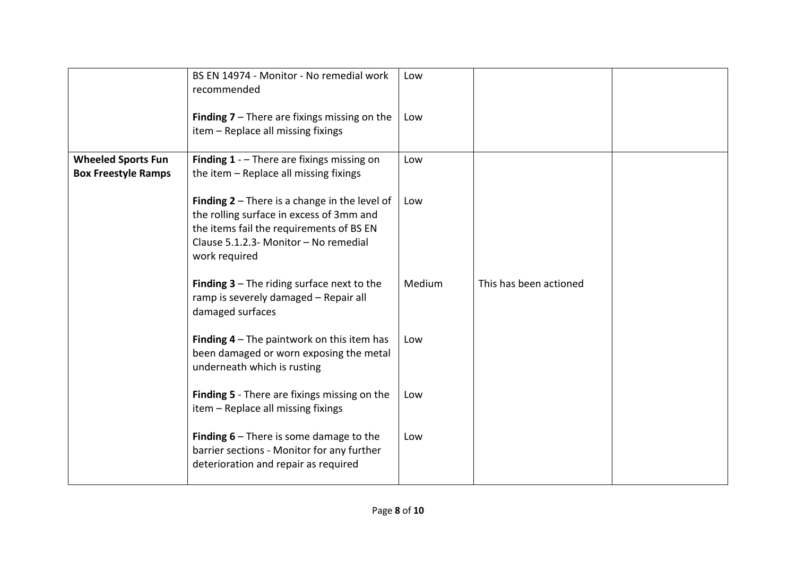|                                                         | BS EN 14974 - Monitor - No remedial work<br>recommended                                                                                                                                                  | Low    |                        |  |
|---------------------------------------------------------|----------------------------------------------------------------------------------------------------------------------------------------------------------------------------------------------------------|--------|------------------------|--|
|                                                         | <b>Finding 7</b> – There are fixings missing on the<br>item - Replace all missing fixings                                                                                                                | Low    |                        |  |
| <b>Wheeled Sports Fun</b><br><b>Box Freestyle Ramps</b> | <b>Finding 1</b> - $-$ There are fixings missing on<br>the item - Replace all missing fixings                                                                                                            | Low    |                        |  |
|                                                         | <b>Finding 2</b> $-$ There is a change in the level of<br>the rolling surface in excess of 3mm and<br>the items fail the requirements of BS EN<br>Clause 5.1.2.3- Monitor - No remedial<br>work required | Low    |                        |  |
|                                                         | <b>Finding 3</b> $-$ The riding surface next to the<br>ramp is severely damaged - Repair all<br>damaged surfaces                                                                                         | Medium | This has been actioned |  |
|                                                         | Finding $4$ – The paintwork on this item has<br>been damaged or worn exposing the metal<br>underneath which is rusting                                                                                   | Low    |                        |  |
|                                                         | <b>Finding 5</b> - There are fixings missing on the<br>item - Replace all missing fixings                                                                                                                | Low    |                        |  |
|                                                         | <b>Finding 6</b> $-$ There is some damage to the<br>barrier sections - Monitor for any further<br>deterioration and repair as required                                                                   | Low    |                        |  |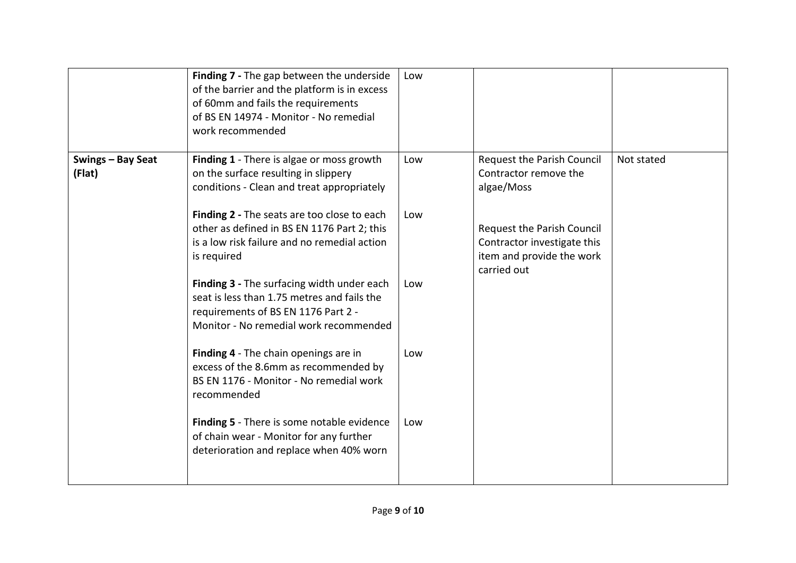|                             | Finding 7 - The gap between the underside<br>of the barrier and the platform is in excess<br>of 60mm and fails the requirements<br>of BS EN 14974 - Monitor - No remedial<br>work recommended                                 | Low        |                                                                                                 |            |
|-----------------------------|-------------------------------------------------------------------------------------------------------------------------------------------------------------------------------------------------------------------------------|------------|-------------------------------------------------------------------------------------------------|------------|
| Swings - Bay Seat<br>(Flat) | Finding 1 - There is algae or moss growth<br>on the surface resulting in slippery<br>conditions - Clean and treat appropriately<br>Finding 2 - The seats are too close to each<br>other as defined in BS EN 1176 Part 2; this | Low<br>Low | Request the Parish Council<br>Contractor remove the<br>algae/Moss<br>Request the Parish Council | Not stated |
|                             | is a low risk failure and no remedial action<br>is required                                                                                                                                                                   |            | Contractor investigate this<br>item and provide the work<br>carried out                         |            |
|                             | Finding 3 - The surfacing width under each<br>seat is less than 1.75 metres and fails the<br>requirements of BS EN 1176 Part 2 -<br>Monitor - No remedial work recommended                                                    | Low        |                                                                                                 |            |
|                             | Finding 4 - The chain openings are in<br>excess of the 8.6mm as recommended by<br>BS EN 1176 - Monitor - No remedial work<br>recommended                                                                                      | Low        |                                                                                                 |            |
|                             | Finding 5 - There is some notable evidence<br>of chain wear - Monitor for any further<br>deterioration and replace when 40% worn                                                                                              | Low        |                                                                                                 |            |